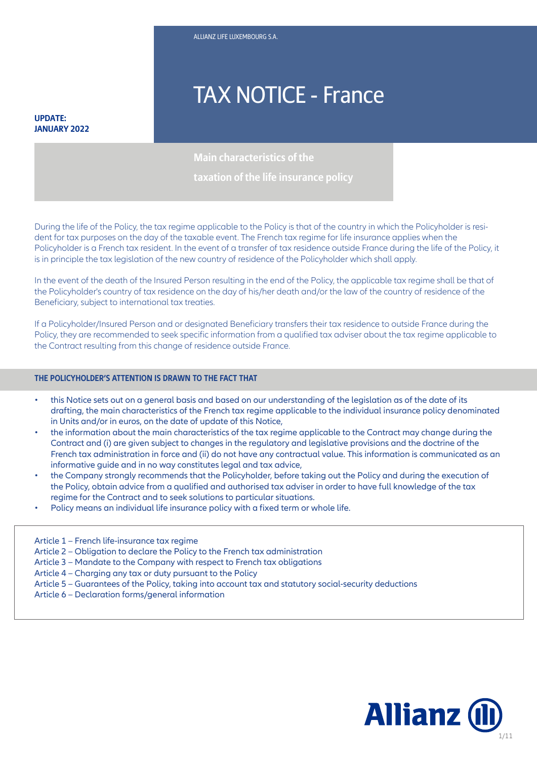# TAX NOTICE - France

#### **UPDATE: JANUARY 2022**

**Main characteristics of the**

**taxation of the life insurance policy**

During the life of the Policy, the tax regime applicable to the Policy is that of the country in which the Policyholder is resident for tax purposes on the day of the taxable event. The French tax regime for life insurance applies when the Policyholder is a French tax resident. In the event of a transfer of tax residence outside France during the life of the Policy, it is in principle the tax legislation of the new country of residence of the Policyholder which shall apply.

In the event of the death of the Insured Person resulting in the end of the Policy, the applicable tax regime shall be that of the Policyholder's country of tax residence on the day of his/her death and/or the law of the country of residence of the Beneficiary, subject to international tax treaties.

If a Policyholder/Insured Person and or designated Beneficiary transfers their tax residence to outside France during the Policy, they are recommended to seek specific information from a qualified tax adviser about the tax regime applicable to the Contract resulting from this change of residence outside France.

#### **THE POLICYHOLDER'S ATTENTION IS DRAWN TO THE FACT THAT**

- this Notice sets out on a general basis and based on our understanding of the legislation as of the date of its drafting, the main characteristics of the French tax regime applicable to the individual insurance policy denominated in Units and/or in euros, on the date of update of this Notice,
- the information about the main characteristics of the tax regime applicable to the Contract may change during the Contract and (i) are given subject to changes in the regulatory and legislative provisions and the doctrine of the French tax administration in force and (ii) do not have any contractual value. This information is communicated as an informative guide and in no way constitutes legal and tax advice,
- the Company strongly recommends that the Policyholder, before taking out the Policy and during the execution of the Policy, obtain advice from a qualified and authorised tax adviser in order to have full knowledge of the tax regime for the Contract and to seek solutions to particular situations.
- Policy means an individual life insurance policy with a fixed term or whole life.<br>————————————————————

Article 1 – French life-insurance tax regime

- Article 2 Obligation to declare the Policy to the French tax administration
- Article 3 Mandate to the Company with respect to French tax obligations
- Article 4 Charging any tax or duty pursuant to the Policy
- Article 5 Guarantees of the Policy, taking into account tax and statutory social-security deductions
- Article 6 Declaration forms/general information

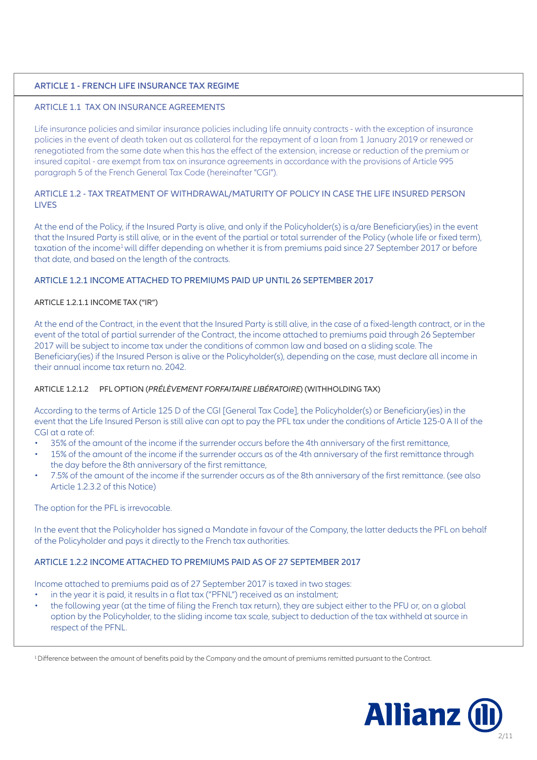## **ARTICLE 1 - FRENCH LIFE INSURANCE TAX REGIME**

## ARTICLE 1.1 TAX ON INSURANCE AGREEMENTS

Life insurance policies and similar insurance policies including life annuity contracts - with the exception of insurance policies in the event of death taken out as collateral for the repayment of a loan from 1 January 2019 or renewed or renegotiated from the same date when this has the effect of the extension, increase or reduction of the premium or insured capital - are exempt from tax on insurance agreements in accordance with the provisions of Article 995 paragraph 5 of the French General Tax Code (hereinafter "CGI").

### ARTICLE 1.2 - TAX TREATMENT OF WITHDRAWAL/MATURITY OF POLICY IN CASE THE LIFE INSURED PERSON **LIVES**

At the end of the Policy, if the Insured Party is alive, and only if the Policyholder(s) is a/are Beneficiary(ies) in the event that the Insured Party is still alive, or in the event of the partial or total surrender of the Policy (whole life or fixed term), taxation of the income<sup>1</sup> will differ depending on whether it is from premiums paid since 27 September 2017 or before that date, and based on the length of the contracts.

## ARTICLE 1.2.1 INCOME ATTACHED TO PREMIUMS PAID UP UNTIL 26 SEPTEMBER 2017

#### ARTICLE 1.2.1.1 INCOME TAX ("IR")

At the end of the Contract, in the event that the Insured Party is still alive, in the case of a fixed-length contract, or in the event of the total of partial surrender of the Contract, the income attached to premiums paid through 26 September 2017 will be subject to income tax under the conditions of common law and based on a sliding scale. The Beneficiary(ies) if the Insured Person is alive or the Policyholder(s), depending on the case, must declare all income in their annual income tax return no. 2042.

## ARTICLE 1.2.1.2 PFL OPTION (*PRÉLÈVEMENT FORFAITAIRE LIBÉRATOIRE*) (WITHHOLDING TAX)

According to the terms of Article 125 D of the CGI [General Tax Code], the Policyholder(s) or Beneficiary(ies) in the event that the Life Insured Person is still alive can opt to pay the PFL tax under the conditions of Article 125-0 A II of the CGI at a rate of:

- 35% of the amount of the income if the surrender occurs before the 4th anniversary of the first remittance,
- 15% of the amount of the income if the surrender occurs as of the 4th anniversary of the first remittance through the day before the 8th anniversary of the first remittance,
- 7.5% of the amount of the income if the surrender occurs as of the 8th anniversary of the first remittance. (see also Article 1.2.3.2 of this Notice)

The option for the PFL is irrevocable.

In the event that the Policyholder has signed a Mandate in favour of the Company, the latter deducts the PFL on behalf of the Policyholder and pays it directly to the French tax authorities.

## ARTICLE 1.2.2 INCOME ATTACHED TO PREMIUMS PAID AS OF 27 SEPTEMBER 2017

Income attached to premiums paid as of 27 September 2017 is taxed in two stages:

- in the year it is paid, it results in a flat tax ("PFNL") received as an instalment;
- the following year (at the time of filing the French tax return), they are subject either to the PFU or, on a global option by the Policyholder, to the sliding income tax scale, subject to deduction of the tax withheld at source in respect of the PFNL.

<sup>1</sup> Difference between the amount of benefits paid by the Company and the amount of premiums remitted pursuant to the Contract.

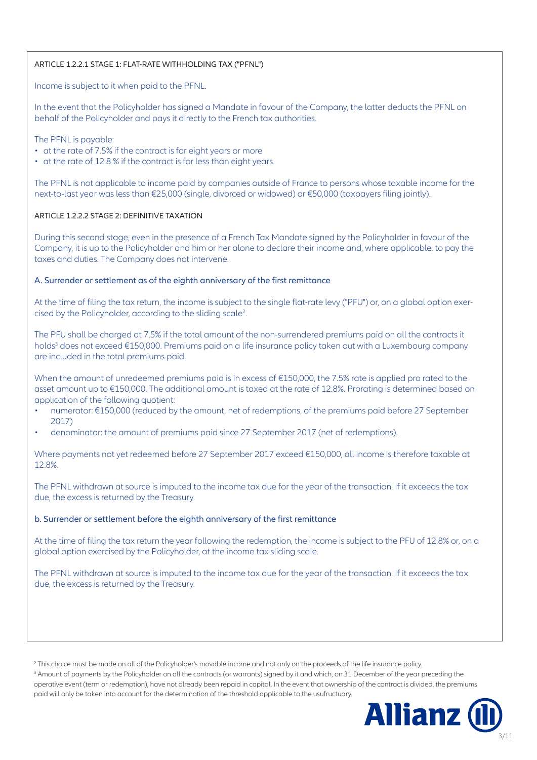#### ARTICLE 1.2.2.1 STAGE 1: FLAT-RATE WITHHOLDING TAX ("PFNL")

Income is subject to it when paid to the PFNL.

In the event that the Policyholder has signed a Mandate in favour of the Company, the latter deducts the PFNL on behalf of the Policyholder and pays it directly to the French tax authorities.

The PFNL is payable:

- at the rate of 7.5% if the contract is for eight years or more
- at the rate of 12.8 % if the contract is for less than eight years.

The PFNL is not applicable to income paid by companies outside of France to persons whose taxable income for the next-to-last year was less than €25,000 (single, divorced or widowed) or €50,000 (taxpayers filing jointly).

#### ARTICLE 1.2.2.2 STAGE 2: DEFINITIVE TAXATION

During this second stage, even in the presence of a French Tax Mandate signed by the Policyholder in favour of the Company, it is up to the Policyholder and him or her alone to declare their income and, where applicable, to pay the taxes and duties. The Company does not intervene.

#### A. Surrender or settlement as of the eighth anniversary of the first remittance

At the time of filing the tax return, the income is subject to the single flat-rate levy ("PFU") or, on a global option exercised by the Policyholder, according to the sliding scale2 .

The PFU shall be charged at 7.5% if the total amount of the non-surrendered premiums paid on all the contracts it holds<sup>3</sup> does not exceed €150,000. Premiums paid on a life insurance policy taken out with a Luxembourg company are included in the total premiums paid.

When the amount of unredeemed premiums paid is in excess of €150,000, the 7.5% rate is applied pro rated to the asset amount up to €150,000. The additional amount is taxed at the rate of 12.8%. Prorating is determined based on application of the following quotient:

- numerator: €150,000 (reduced by the amount, net of redemptions, of the premiums paid before 27 September 2017)
- denominator: the amount of premiums paid since 27 September 2017 (net of redemptions).

Where payments not yet redeemed before 27 September 2017 exceed €150,000, all income is therefore taxable at 12.8%.

The PFNL withdrawn at source is imputed to the income tax due for the year of the transaction. If it exceeds the tax due, the excess is returned by the Treasury.

#### b. Surrender or settlement before the eighth anniversary of the first remittance

At the time of filing the tax return the year following the redemption, the income is subject to the PFU of 12.8% or, on a global option exercised by the Policyholder, at the income tax sliding scale.

The PFNL withdrawn at source is imputed to the income tax due for the year of the transaction. If it exceeds the tax due, the excess is returned by the Treasury.

 $^3$  Amount of payments by the Policyholder on all the contracts (or warrants) signed by it and which, on 31 December of the year preceding the operative event (term or redemption), have not already been repaid in capital. In the event that ownership of the contract is divided, the premiums paid will only be taken into account for the determination of the threshold applicable to the usufructuary.



<sup>2</sup> This choice must be made on all of the Policyholder's movable income and not only on the proceeds of the life insurance policy.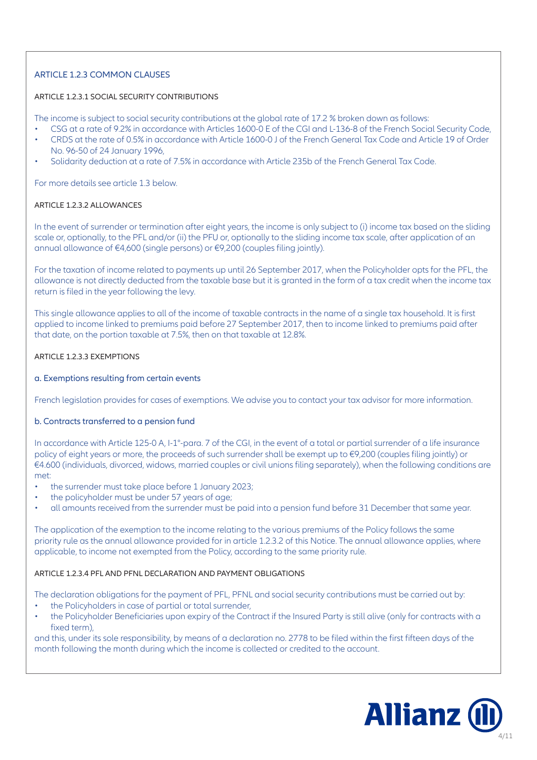# ARTICLE 1.2.3 COMMON CLAUSES

## ARTICLE 1.2.3.1 SOCIAL SECURITY CONTRIBUTIONS

The income is subject to social security contributions at the global rate of 17.2 % broken down as follows:

- CSG at a rate of 9.2% in accordance with Articles 1600-0 E of the CGI and L-136-8 of the French Social Security Code,
- CRDS at the rate of 0.5% in accordance with Article 1600-0 J of the French General Tax Code and Article 19 of Order No. 96-50 of 24 January 1996,
- Solidarity deduction at a rate of 7.5% in accordance with Article 235b of the French General Tax Code.

For more details see article 1.3 below.

#### ARTICLE 1.2.3.2 ALLOWANCES

In the event of surrender or termination after eight years, the income is only subject to (i) income tax based on the sliding scale or, optionally, to the PFL and/or (ii) the PFU or, optionally to the sliding income tax scale, after application of an annual allowance of €4,600 (single persons) or €9,200 (couples filing jointly).

For the taxation of income related to payments up until 26 September 2017, when the Policyholder opts for the PFL, the allowance is not directly deducted from the taxable base but it is granted in the form of a tax credit when the income tax return is filed in the year following the levy.

This single allowance applies to all of the income of taxable contracts in the name of a single tax household. It is first applied to income linked to premiums paid before 27 September 2017, then to income linked to premiums paid after that date, on the portion taxable at 7.5%, then on that taxable at 12.8%.

#### ARTICLE 1.2.3.3 EXEMPTIONS

#### a. Exemptions resulting from certain events

French legislation provides for cases of exemptions. We advise you to contact your tax advisor for more information.

## b. Contracts transferred to a pension fund

In accordance with Article 125-0 A, I-1°-para. 7 of the CGI, in the event of a total or partial surrender of a life insurance policy of eight years or more, the proceeds of such surrender shall be exempt up to €9,200 (couples filing jointly) or €4.600 (individuals, divorced, widows, married couples or civil unions filing separately), when the following conditions are met:

- the surrender must take place before 1 January 2023;
- the policyholder must be under 57 years of age;
- all amounts received from the surrender must be paid into a pension fund before 31 December that same year.

The application of the exemption to the income relating to the various premiums of the Policy follows the same priority rule as the annual allowance provided for in article 1.2.3.2 of this Notice. The annual allowance applies, where applicable, to income not exempted from the Policy, according to the same priority rule.

## ARTICLE 1.2.3.4 PFL AND PFNL DECLARATION AND PAYMENT OBLIGATIONS

The declaration obligations for the payment of PFL, PFNL and social security contributions must be carried out by:

- the Policyholders in case of partial or total surrender,
- the Policyholder Beneficiaries upon expiry of the Contract if the Insured Party is still alive (only for contracts with a fixed term),

and this, under its sole responsibility, by means of a declaration no. 2778 to be filed within the first fifteen days of the month following the month during which the income is collected or credited to the account.

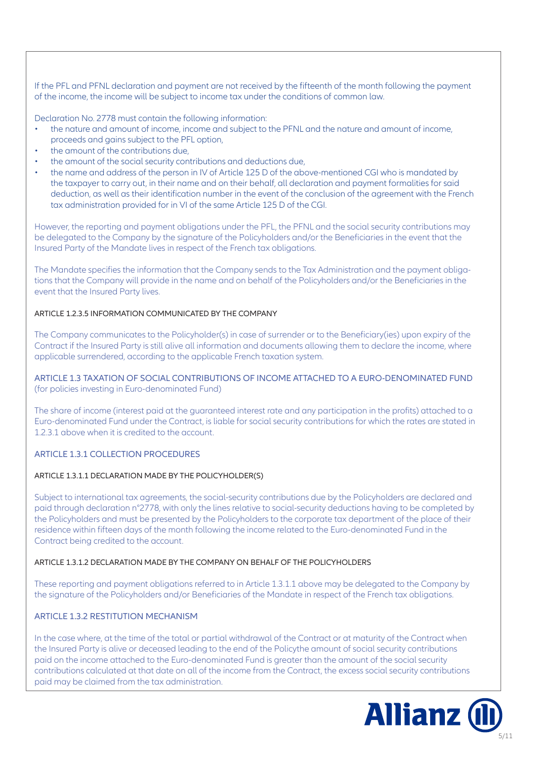If the PFL and PFNL declaration and payment are not received by the fifteenth of the month following the payment of the income, the income will be subject to income tax under the conditions of common law.

Declaration No. 2778 must contain the following information:

- the nature and amount of income, income and subject to the PFNL and the nature and amount of income, proceeds and gains subject to the PFL option,
- the amount of the contributions due,
- the amount of the social security contributions and deductions due,
- the name and address of the person in IV of Article 125 D of the above-mentioned CGI who is mandated by the taxpayer to carry out, in their name and on their behalf, all declaration and payment formalities for said deduction, as well as their identification number in the event of the conclusion of the agreement with the French tax administration provided for in VI of the same Article 125 D of the CGI.

However, the reporting and payment obligations under the PFL, the PFNL and the social security contributions may be delegated to the Company by the signature of the Policyholders and/or the Beneficiaries in the event that the Insured Party of the Mandate lives in respect of the French tax obligations.

The Mandate specifies the information that the Company sends to the Tax Administration and the payment obligations that the Company will provide in the name and on behalf of the Policyholders and/or the Beneficiaries in the event that the Insured Party lives.

#### ARTICLE 1.2.3.5 INFORMATION COMMUNICATED BY THE COMPANY

The Company communicates to the Policyholder(s) in case of surrender or to the Beneficiary(ies) upon expiry of the Contract if the Insured Party is still alive all information and documents allowing them to declare the income, where applicable surrendered, according to the applicable French taxation system.

ARTICLE 1.3 TAXATION OF SOCIAL CONTRIBUTIONS OF INCOME ATTACHED TO A EURO-DENOMINATED FUND (for policies investing in Euro-denominated Fund)

The share of income (interest paid at the guaranteed interest rate and any participation in the profits) attached to a Euro-denominated Fund under the Contract, is liable for social security contributions for which the rates are stated in 1.2.3.1 above when it is credited to the account.

## ARTICLE 1.3.1 COLLECTION PROCEDURES

## ARTICLE 1.3.1.1 DECLARATION MADE BY THE POLICYHOLDER(S)

Subject to international tax agreements, the social-security contributions due by the Policyholders are declared and paid through declaration n°2778, with only the lines relative to social-security deductions having to be completed by the Policyholders and must be presented by the Policyholders to the corporate tax department of the place of their residence within fifteen days of the month following the income related to the Euro-denominated Fund in the Contract being credited to the account.

#### ARTICLE 1.3.1.2 DECLARATION MADE BY THE COMPANY ON BEHALF OF THE POLICYHOLDERS

These reporting and payment obligations referred to in Article 1.3.1.1 above may be delegated to the Company by the signature of the Policyholders and/or Beneficiaries of the Mandate in respect of the French tax obligations.

## ARTICLE 1.3.2 RESTITUTION MECHANISM

In the case where, at the time of the total or partial withdrawal of the Contract or at maturity of the Contract when the Insured Party is alive or deceased leading to the end of the Policythe amount of social security contributions paid on the income attached to the Euro-denominated Fund is greater than the amount of the social security contributions calculated at that date on all of the income from the Contract, the excess social security contributions paid may be claimed from the tax administration.

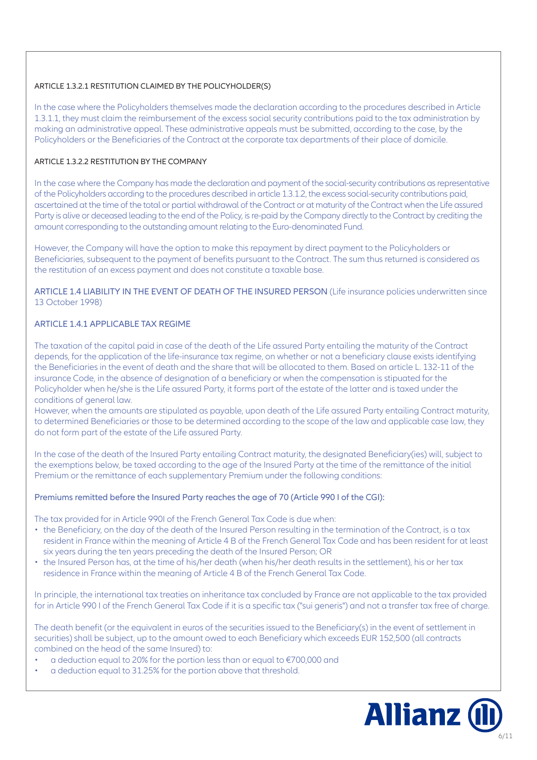## ARTICLE 1.3.2.1 RESTITUTION CLAIMED BY THE POLICYHOLDER(S)

In the case where the Policyholders themselves made the declaration according to the procedures described in Article 1.3.1.1, they must claim the reimbursement of the excess social security contributions paid to the tax administration by making an administrative appeal. These administrative appeals must be submitted, according to the case, by the Policyholders or the Beneficiaries of the Contract at the corporate tax departments of their place of domicile.

## ARTICLE 1.3.2.2 RESTITUTION BY THE COMPANY

In the case where the Company has made the declaration and payment of the social-security contributions as representative of the Policyholders according to the procedures described in article 1.3.1.2, the excess social-security contributions paid, ascertained at the time of the total or partial withdrawal of the Contract or at maturity of the Contract when the Life assured Party is alive or deceased leading to the end of the Policy, is re-paid by the Company directly to the Contract by crediting the amount corresponding to the outstanding amount relating to the Euro-denominated Fund.

However, the Company will have the option to make this repayment by direct payment to the Policyholders or Beneficiaries, subsequent to the payment of benefits pursuant to the Contract. The sum thus returned is considered as the restitution of an excess payment and does not constitute a taxable base.

ARTICLE 1.4 LIABILITY IN THE EVENT OF DEATH OF THE INSURED PERSON (Life insurance policies underwritten since 13 October 1998)

## ARTICLE 1.4.1 APPLICABLE TAX REGIME

The taxation of the capital paid in case of the death of the Life assured Party entailing the maturity of the Contract depends, for the application of the life-insurance tax regime, on whether or not a beneficiary clause exists identifying the Beneficiaries in the event of death and the share that will be allocated to them. Based on article L. 132-11 of the insurance Code, in the absence of designation of a beneficiary or when the compensation is stipuated for the Policyholder when he/she is the Life assured Party, it forms part of the estate of the latter and is taxed under the conditions of general law.

However, when the amounts are stipulated as payable, upon death of the Life assured Party entailing Contract maturity, to determined Beneficiaries or those to be determined according to the scope of the law and applicable case law, they do not form part of the estate of the Life assured Party.

In the case of the death of the Insured Party entailing Contract maturity, the designated Beneficiary(ies) will, subject to the exemptions below, be taxed according to the age of the Insured Party at the time of the remittance of the initial Premium or the remittance of each supplementary Premium under the following conditions:

## Premiums remitted before the Insured Party reaches the age of 70 (Article 990 I of the CGI):

The tax provided for in Article 990I of the French General Tax Code is due when:

- the Beneficiary, on the day of the death of the Insured Person resulting in the termination of the Contract, is a tax resident in France within the meaning of Article 4 B of the French General Tax Code and has been resident for at least six years during the ten years preceding the death of the Insured Person; OR
- the Insured Person has, at the time of his/her death (when his/her death results in the settlement), his or her tax residence in France within the meaning of Article 4 B of the French General Tax Code.

In principle, the international tax treaties on inheritance tax concluded by France are not applicable to the tax provided for in Article 990 I of the French General Tax Code if it is a specific tax ("sui generis") and not a transfer tax free of charge.

The death benefit (or the equivalent in euros of the securities issued to the Beneficiary(s) in the event of settlement in securities) shall be subject, up to the amount owed to each Beneficiary which exceeds EUR 152,500 (all contracts combined on the head of the same Insured) to:

- a deduction equal to 20% for the portion less than or equal to €700,000 and
- a deduction equal to 31.25% for the portion above that threshold.

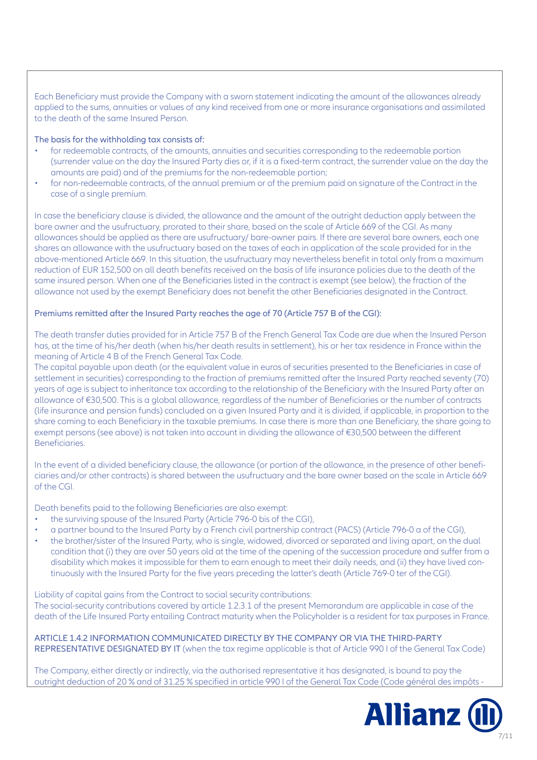Each Beneficiary must provide the Company with a sworn statement indicating the amount of the allowances already applied to the sums, annuities or values of any kind received from one or more insurance organisations and assimilated to the death of the same Insured Person.

#### The basis for the withholding tax consists of:

- for redeemable contracts, of the amounts, annuities and securities corresponding to the redeemable portion (surrender value on the day the Insured Party dies or, if it is a fixed-term contract, the surrender value on the day the amounts are paid) and of the premiums for the non-redeemable portion;
- for non-redeemable contracts, of the annual premium or of the premium paid on signature of the Contract in the case of a single premium.

In case the beneficiary clause is divided, the allowance and the amount of the outright deduction apply between the bare owner and the usufructuary, prorated to their share, based on the scale of Article 669 of the CGI. As many allowances should be applied as there are usufructuary/ bare-owner pairs. If there are several bare owners, each one shares an allowance with the usufructuary based on the taxes of each in application of the scale provided for in the above-mentioned Article 669. In this situation, the usufructuary may nevertheless benefit in total only from a maximum reduction of EUR 152,500 on all death benefits received on the basis of life insurance policies due to the death of the same insured person. When one of the Beneficiaries listed in the contract is exempt (see below), the fraction of the allowance not used by the exempt Beneficiary does not benefit the other Beneficiaries designated in the Contract.

#### Premiums remitted after the Insured Party reaches the age of 70 (Article 757 B of the CGI):

The death transfer duties provided for in Article 757 B of the French General Tax Code are due when the Insured Person has, at the time of his/her death (when his/her death results in settlement), his or her tax residence in France within the meaning of Article 4 B of the French General Tax Code.

The capital payable upon death (or the equivalent value in euros of securities presented to the Beneficiaries in case of settlement in securities) corresponding to the fraction of premiums remitted after the Insured Party reached seventy (70) years of age is subject to inheritance tax according to the relationship of the Beneficiary with the Insured Party after an allowance of €30,500. This is a global allowance, regardless of the number of Beneficiaries or the number of contracts (life insurance and pension funds) concluded on a given Insured Party and it is divided, if applicable, in proportion to the share coming to each Beneficiary in the taxable premiums. In case there is more than one Beneficiary, the share going to exempt persons (see above) is not taken into account in dividing the allowance of €30,500 between the different Beneficiaries.

In the event of a divided beneficiary clause, the allowance (or portion of the allowance, in the presence of other beneficiaries and/or other contracts) is shared between the usufructuary and the bare owner based on the scale in Article 669 of the CGI.

Death benefits paid to the following Beneficiaries are also exempt:

- the surviving spouse of the Insured Party (Article 796-0 bis of the CGI),
- a partner bound to the Insured Party by a French civil partnership contract (PACS) (Article 796-0 a of the CGI),
- the brother/sister of the Insured Party, who is single, widowed, divorced or separated and living apart, on the dual condition that (i) they are over 50 years old at the time of the opening of the succession procedure and suffer from a disability which makes it impossible for them to earn enough to meet their daily needs, and (ii) they have lived continuously with the Insured Party for the five years preceding the latter's death (Article 769-0 ter of the CGI).

Liability of capital gains from the Contract to social security contributions: The social-security contributions covered by article 1.2.3.1 of the present Memorandum are applicable in case of the death of the Life Insured Party entailing Contract maturity when the Policyholder is a resident for tax purposes in France.

ARTICLE 1.4.2 INFORMATION COMMUNICATED DIRECTLY BY THE COMPANY OR VIA THE THIRD-PARTY REPRESENTATIVE DESIGNATED BY IT (when the tax regime applicable is that of Article 990 I of the General Tax Code)

The Company, either directly or indirectly, via the authorised representative it has designated, is bound to pay the outright deduction of 20 % and of 31.25 % specified in article 990 I of the General Tax Code (Code général des impôts -

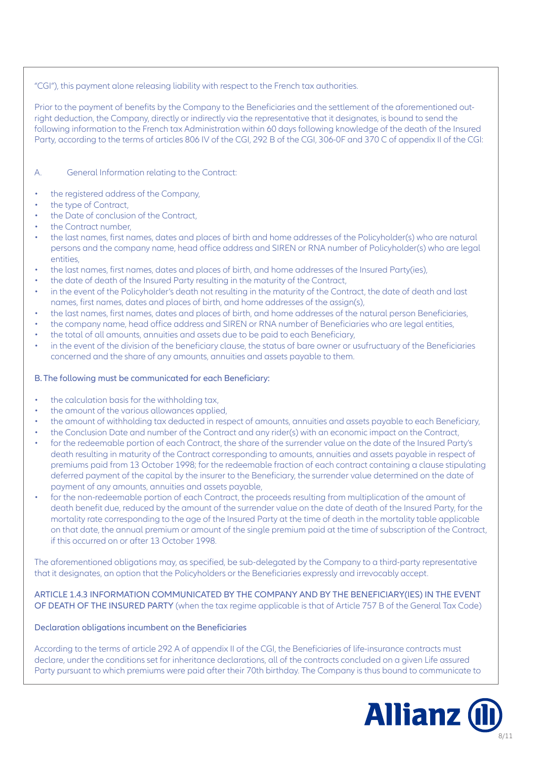## "CGI"), this payment alone releasing liability with respect to the French tax authorities.

Prior to the payment of benefits by the Company to the Beneficiaries and the settlement of the aforementioned outright deduction, the Company, directly or indirectly via the representative that it designates, is bound to send the following information to the French tax Administration within 60 days following knowledge of the death of the Insured Party, according to the terms of articles 806 IV of the CGI, 292 B of the CGI, 306-0F and 370 C of appendix II of the CGI:

## A. General Information relating to the Contract:

- the registered address of the Company,
- the type of Contract,
- the Date of conclusion of the Contract,
- the Contract number,
- the last names, first names, dates and places of birth and home addresses of the Policyholder(s) who are natural persons and the company name, head office address and SIREN or RNA number of Policyholder(s) who are legal entities,
- the last names, first names, dates and places of birth, and home addresses of the Insured Party(ies),
- the date of death of the Insured Party resulting in the maturity of the Contract,
- in the event of the Policyholder's death not resulting in the maturity of the Contract, the date of death and last names, first names, dates and places of birth, and home addresses of the assign(s),
- the last names, first names, dates and places of birth, and home addresses of the natural person Beneficiaries,
- the company name, head office address and SIREN or RNA number of Beneficiaries who are legal entities,
- the total of all amounts, annuities and assets due to be paid to each Beneficiary,
- in the event of the division of the beneficiary clause, the status of bare owner or usufructuary of the Beneficiaries concerned and the share of any amounts, annuities and assets payable to them.

## B. The following must be communicated for each Beneficiary:

- the calculation basis for the withholding tax,
- the amount of the various allowances applied.
- the amount of withholding tax deducted in respect of amounts, annuities and assets payable to each Beneficiary,
- the Conclusion Date and number of the Contract and any rider(s) with an economic impact on the Contract,
- for the redeemable portion of each Contract, the share of the surrender value on the date of the Insured Party's death resulting in maturity of the Contract corresponding to amounts, annuities and assets payable in respect of premiums paid from 13 October 1998; for the redeemable fraction of each contract containing a clause stipulating deferred payment of the capital by the insurer to the Beneficiary, the surrender value determined on the date of payment of any amounts, annuities and assets payable,
- for the non-redeemable portion of each Contract, the proceeds resulting from multiplication of the amount of death benefit due, reduced by the amount of the surrender value on the date of death of the Insured Party, for the mortality rate corresponding to the age of the Insured Party at the time of death in the mortality table applicable on that date, the annual premium or amount of the single premium paid at the time of subscription of the Contract, if this occurred on or after 13 October 1998.

The aforementioned obligations may, as specified, be sub-delegated by the Company to a third-party representative that it designates, an option that the Policyholders or the Beneficiaries expressly and irrevocably accept.

## ARTICLE 1.4.3 INFORMATION COMMUNICATED BY THE COMPANY AND BY THE BENEFICIARY(IES) IN THE EVENT OF DEATH OF THE INSURED PARTY (when the tax regime applicable is that of Article 757 B of the General Tax Code)

## Declaration obligations incumbent on the Beneficiaries

According to the terms of article 292 A of appendix II of the CGI, the Beneficiaries of life-insurance contracts must declare, under the conditions set for inheritance declarations, all of the contracts concluded on a given Life assured Party pursuant to which premiums were paid after their 70th birthday. The Company is thus bound to communicate to

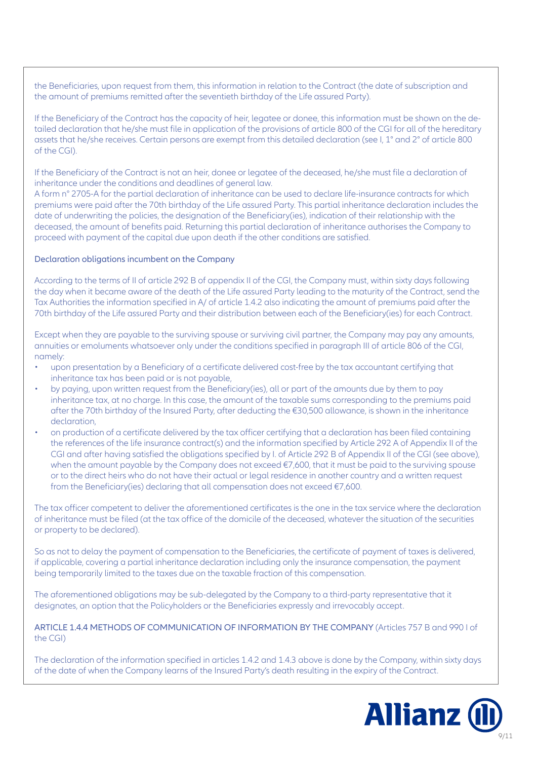the Beneficiaries, upon request from them, this information in relation to the Contract (the date of subscription and the amount of premiums remitted after the seventieth birthday of the Life assured Party).

If the Beneficiary of the Contract has the capacity of heir, legatee or donee, this information must be shown on the detailed declaration that he/she must file in application of the provisions of article 800 of the CGI for all of the hereditary assets that he/she receives. Certain persons are exempt from this detailed declaration (see I, 1° and 2° of article 800 of the CGI).

If the Beneficiary of the Contract is not an heir, donee or legatee of the deceased, he/she must file a declaration of inheritance under the conditions and deadlines of general law.

A form n° 2705-A for the partial declaration of inheritance can be used to declare life-insurance contracts for which premiums were paid after the 70th birthday of the Life assured Party. This partial inheritance declaration includes the date of underwriting the policies, the designation of the Beneficiary(ies), indication of their relationship with the deceased, the amount of benefits paid. Returning this partial declaration of inheritance authorises the Company to proceed with payment of the capital due upon death if the other conditions are satisfied.

#### Declaration obligations incumbent on the Company

According to the terms of II of article 292 B of appendix II of the CGI, the Company must, within sixty days following the day when it became aware of the death of the Life assured Party leading to the maturity of the Contract, send the Tax Authorities the information specified in A/ of article 1.4.2 also indicating the amount of premiums paid after the 70th birthday of the Life assured Party and their distribution between each of the Beneficiary(ies) for each Contract.

Except when they are payable to the surviving spouse or surviving civil partner, the Company may pay any amounts, annuities or emoluments whatsoever only under the conditions specified in paragraph III of article 806 of the CGI, namely:

- upon presentation by a Beneficiary of a certificate delivered cost-free by the tax accountant certifying that inheritance tax has been paid or is not payable,
- by paying, upon written request from the Beneficiary(ies), all or part of the amounts due by them to pay inheritance tax, at no charge. In this case, the amount of the taxable sums corresponding to the premiums paid after the 70th birthday of the Insured Party, after deducting the €30,500 allowance, is shown in the inheritance declaration,
- on production of a certificate delivered by the tax officer certifying that a declaration has been filed containing the references of the life insurance contract(s) and the information specified by Article 292 A of Appendix II of the CGI and after having satisfied the obligations specified by I. of Article 292 B of Appendix II of the CGI (see above), when the amount payable by the Company does not exceed €7,600, that it must be paid to the surviving spouse or to the direct heirs who do not have their actual or legal residence in another country and a written request from the Beneficiary(ies) declaring that all compensation does not exceed €7,600.

The tax officer competent to deliver the aforementioned certificates is the one in the tax service where the declaration of inheritance must be filed (at the tax office of the domicile of the deceased, whatever the situation of the securities or property to be declared).

So as not to delay the payment of compensation to the Beneficiaries, the certificate of payment of taxes is delivered, if applicable, covering a partial inheritance declaration including only the insurance compensation, the payment being temporarily limited to the taxes due on the taxable fraction of this compensation.

The aforementioned obligations may be sub-delegated by the Company to a third-party representative that it designates, an option that the Policyholders or the Beneficiaries expressly and irrevocably accept.

ARTICLE 1.4.4 METHODS OF COMMUNICATION OF INFORMATION BY THE COMPANY (Articles 757 B and 990 I of the CGI)

The declaration of the information specified in articles 1.4.2 and 1.4.3 above is done by the Company, within sixty days of the date of when the Company learns of the Insured Party's death resulting in the expiry of the Contract.

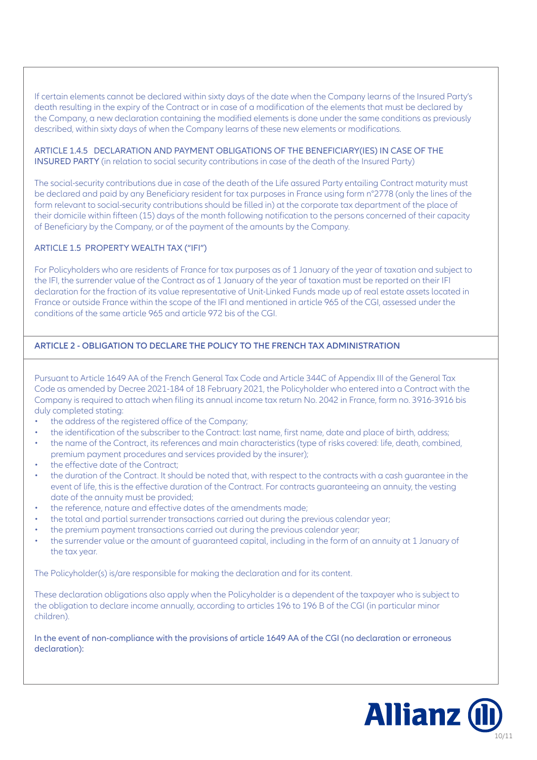If certain elements cannot be declared within sixty days of the date when the Company learns of the Insured Party's death resulting in the expiry of the Contract or in case of a modification of the elements that must be declared by the Company, a new declaration containing the modified elements is done under the same conditions as previously described, within sixty days of when the Company learns of these new elements or modifications.

ARTICLE 1.4.5 DECLARATION AND PAYMENT OBLIGATIONS OF THE BENEFICIARY(IES) IN CASE OF THE INSURED PARTY (in relation to social security contributions in case of the death of the Insured Party)

The social-security contributions due in case of the death of the Life assured Party entailing Contract maturity must be declared and paid by any Beneficiary resident for tax purposes in France using form n°2778 (only the lines of the form relevant to social-security contributions should be filled in) at the corporate tax department of the place of their domicile within fifteen (15) days of the month following notification to the persons concerned of their capacity of Beneficiary by the Company, or of the payment of the amounts by the Company.

## ARTICLE 1.5 PROPERTY WEALTH TAX ("IFI")

For Policyholders who are residents of France for tax purposes as of 1 January of the year of taxation and subject to the IFI, the surrender value of the Contract as of 1 January of the year of taxation must be reported on their IFI declaration for the fraction of its value representative of Unit-Linked Funds made up of real estate assets located in France or outside France within the scope of the IFI and mentioned in article 965 of the CGI, assessed under the conditions of the same article 965 and article 972 bis of the CGI.

## **ARTICLE 2 - OBLIGATION TO DECLARE THE POLICY TO THE FRENCH TAX ADMINISTRATION**

Pursuant to Article 1649 AA of the French General Tax Code and Article 344C of Appendix III of the General Tax Code as amended by Decree 2021-184 of 18 February 2021, the Policyholder who entered into a Contract with the Company is required to attach when filing its annual income tax return No. 2042 in France, form no. 3916-3916 bis duly completed stating:

- the address of the registered office of the Company;
- the identification of the subscriber to the Contract: last name, first name, date and place of birth, address;
- the name of the Contract, its references and main characteristics (type of risks covered: life, death, combined, premium payment procedures and services provided by the insurer);
- the effective date of the Contract;
- the duration of the Contract. It should be noted that, with respect to the contracts with a cash guarantee in the event of life, this is the effective duration of the Contract. For contracts guaranteeing an annuity, the vesting date of the annuity must be provided;
- the reference, nature and effective dates of the amendments made;
- the total and partial surrender transactions carried out during the previous calendar year;
- the premium payment transactions carried out during the previous calendar year;
- the surrender value or the amount of guaranteed capital, including in the form of an annuity at 1 January of the tax year.

The Policyholder(s) is/are responsible for making the declaration and for its content.

These declaration obligations also apply when the Policyholder is a dependent of the taxpayer who is subject to the obligation to declare income annually, according to articles 196 to 196 B of the CGI (in particular minor children).

In the event of non-compliance with the provisions of article 1649 AA of the CGI (no declaration or erroneous declaration):